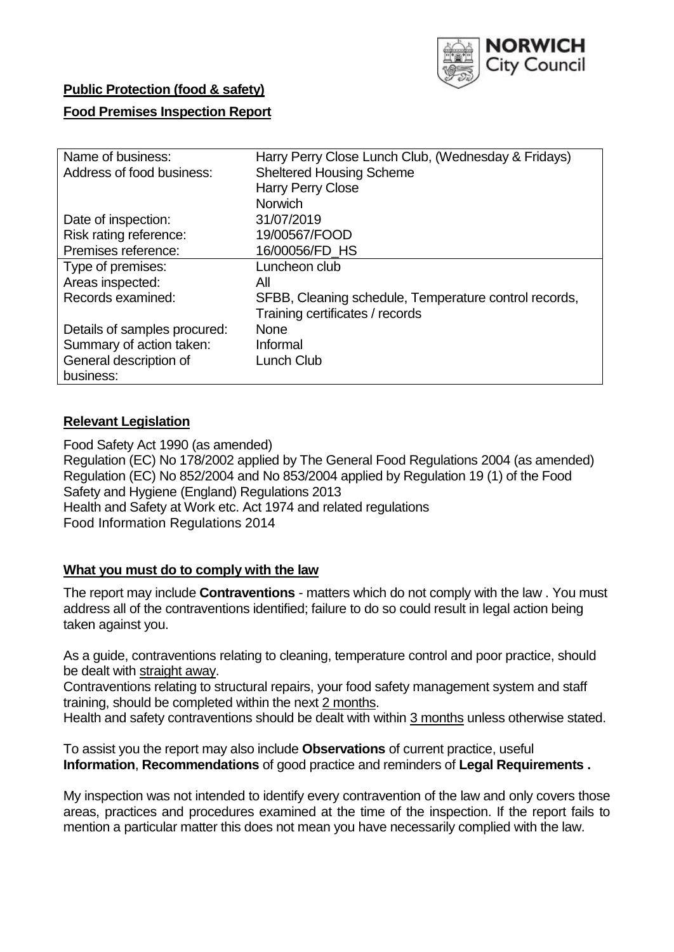

# **Public Protection (food & safety)**

### **Food Premises Inspection Report**

| Name of business:            | Harry Perry Close Lunch Club, (Wednesday & Fridays)   |
|------------------------------|-------------------------------------------------------|
| Address of food business:    | <b>Sheltered Housing Scheme</b>                       |
|                              | <b>Harry Perry Close</b>                              |
|                              | <b>Norwich</b>                                        |
| Date of inspection:          | 31/07/2019                                            |
| Risk rating reference:       | 19/00567/FOOD                                         |
| Premises reference:          | 16/00056/FD HS                                        |
| Type of premises:            | Luncheon club                                         |
| Areas inspected:             | All                                                   |
| Records examined:            | SFBB, Cleaning schedule, Temperature control records, |
|                              | Training certificates / records                       |
| Details of samples procured: | <b>None</b>                                           |
| Summary of action taken:     | Informal                                              |
| General description of       | Lunch Club                                            |
| business:                    |                                                       |

## **Relevant Legislation**

Food Safety Act 1990 (as amended) Regulation (EC) No 178/2002 applied by The General Food Regulations 2004 (as amended) Regulation (EC) No 852/2004 and No 853/2004 applied by Regulation 19 (1) of the Food Safety and Hygiene (England) Regulations 2013 Health and Safety at Work etc. Act 1974 and related regulations Food Information Regulations 2014

## **What you must do to comply with the law**

The report may include **Contraventions** - matters which do not comply with the law . You must address all of the contraventions identified; failure to do so could result in legal action being taken against you.

As a guide, contraventions relating to cleaning, temperature control and poor practice, should be dealt with straight away.

Contraventions relating to structural repairs, your food safety management system and staff training, should be completed within the next 2 months.

Health and safety contraventions should be dealt with within 3 months unless otherwise stated.

To assist you the report may also include **Observations** of current practice, useful **Information**, **Recommendations** of good practice and reminders of **Legal Requirements .**

My inspection was not intended to identify every contravention of the law and only covers those areas, practices and procedures examined at the time of the inspection. If the report fails to mention a particular matter this does not mean you have necessarily complied with the law.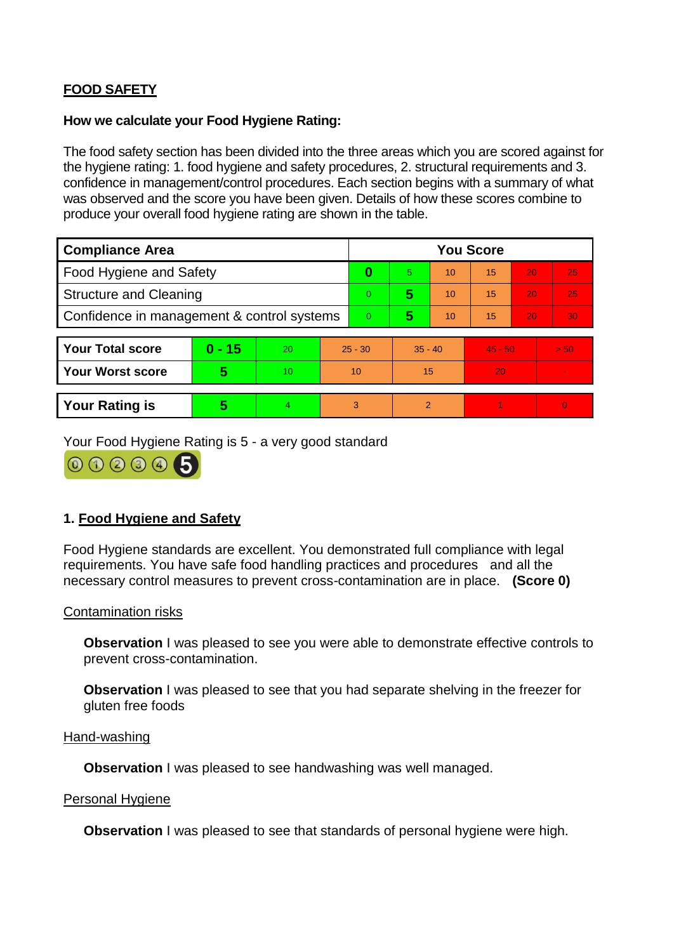# **FOOD SAFETY**

### **How we calculate your Food Hygiene Rating:**

The food safety section has been divided into the three areas which you are scored against for the hygiene rating: 1. food hygiene and safety procedures, 2. structural requirements and 3. confidence in management/control procedures. Each section begins with a summary of what was observed and the score you have been given. Details of how these scores combine to produce your overall food hygiene rating are shown in the table.

| <b>Compliance Area</b>                     |          |    |                | <b>You Score</b> |                |    |           |    |                |  |  |
|--------------------------------------------|----------|----|----------------|------------------|----------------|----|-----------|----|----------------|--|--|
| Food Hygiene and Safety                    |          |    | 0              | 5.               | 10             | 15 | 20        | 25 |                |  |  |
| <b>Structure and Cleaning</b>              |          |    | $\Omega$       | 5                | 10             | 15 | 20        | 25 |                |  |  |
| Confidence in management & control systems |          |    | $\overline{0}$ | 5                | 10             | 15 | 20        | 30 |                |  |  |
|                                            |          |    |                |                  |                |    |           |    |                |  |  |
| <b>Your Total score</b>                    | $0 - 15$ | 20 | $25 - 30$      |                  | $35 - 40$      |    | $45 - 50$ |    | > 50           |  |  |
| Your Worst score                           | 5        | 10 | 10             |                  | 15             |    | 20        |    | $\blacksquare$ |  |  |
|                                            |          |    |                |                  |                |    |           |    |                |  |  |
| <b>Your Rating is</b>                      | 5        | 4. | 3              |                  | $\overline{2}$ |    |           |    | $\overline{0}$ |  |  |

Your Food Hygiene Rating is 5 - a very good standard

000005

# **1. Food Hygiene and Safety**

Food Hygiene standards are excellent. You demonstrated full compliance with legal requirements. You have safe food handling practices and procedures and all the necessary control measures to prevent cross-contamination are in place. **(Score 0)**

## Contamination risks

**Observation** I was pleased to see you were able to demonstrate effective controls to prevent cross-contamination.

**Observation** I was pleased to see that you had separate shelving in the freezer for gluten free foods

#### Hand-washing

**Observation I** was pleased to see handwashing was well managed.

#### Personal Hygiene

**Observation** I was pleased to see that standards of personal hygiene were high.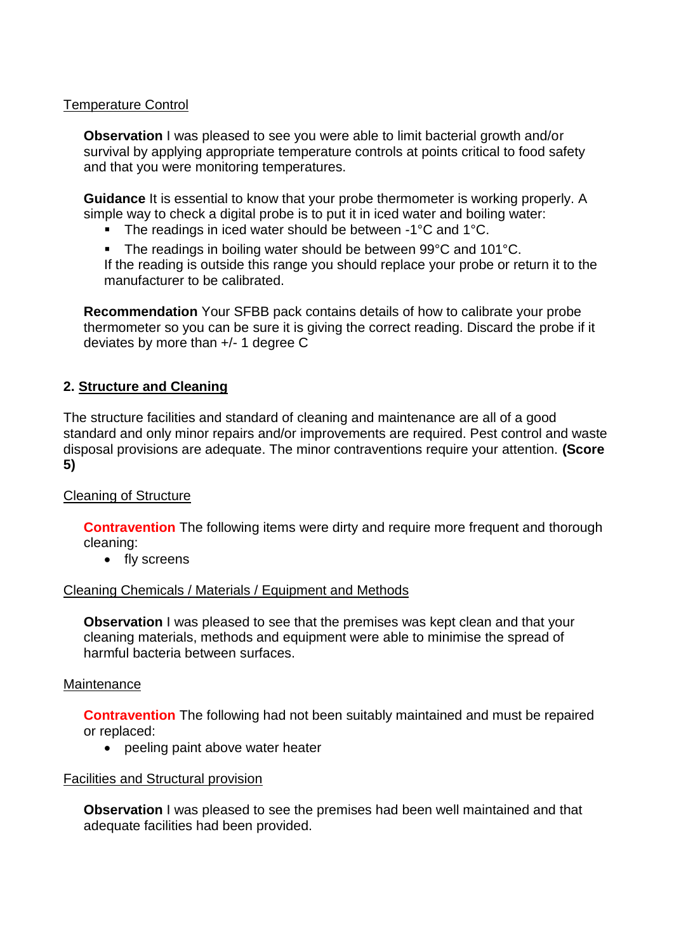## Temperature Control

**Observation** I was pleased to see you were able to limit bacterial growth and/or survival by applying appropriate temperature controls at points critical to food safety and that you were monitoring temperatures.

**Guidance** It is essential to know that your probe thermometer is working properly. A simple way to check a digital probe is to put it in iced water and boiling water:

- The readings in iced water should be between -1°C and 1°C.
- The readings in boiling water should be between 99°C and 101°C. If the reading is outside this range you should replace your probe or return it to the manufacturer to be calibrated.

**Recommendation** Your SFBB pack contains details of how to calibrate your probe thermometer so you can be sure it is giving the correct reading. Discard the probe if it deviates by more than +/- 1 degree C

## **2. Structure and Cleaning**

The structure facilities and standard of cleaning and maintenance are all of a good standard and only minor repairs and/or improvements are required. Pest control and waste disposal provisions are adequate. The minor contraventions require your attention. **(Score 5)**

## Cleaning of Structure

**Contravention** The following items were dirty and require more frequent and thorough cleaning:

• fly screens

## Cleaning Chemicals / Materials / Equipment and Methods

**Observation** I was pleased to see that the premises was kept clean and that your cleaning materials, methods and equipment were able to minimise the spread of harmful bacteria between surfaces.

#### Maintenance

**Contravention** The following had not been suitably maintained and must be repaired or replaced:

• peeling paint above water heater

## Facilities and Structural provision

**Observation** I was pleased to see the premises had been well maintained and that adequate facilities had been provided.